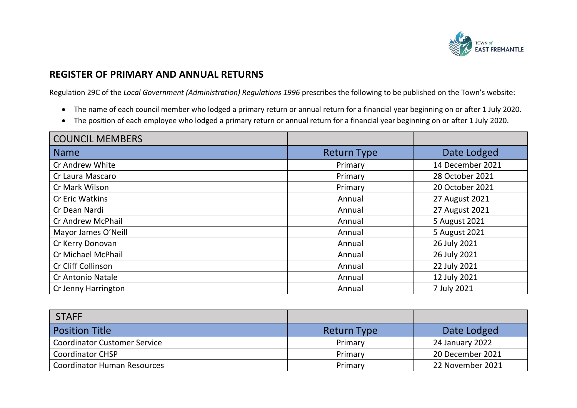

## **REGISTER OF PRIMARY AND ANNUAL RETURNS**

Regulation 29C of the *Local Government (Administration) Regulations 1996* prescribes the following to be published on the Town's website:

- The name of each council member who lodged a primary return or annual return for a financial year beginning on or after 1 July 2020.
- The position of each employee who lodged a primary return or annual return for a financial year beginning on or after 1 July 2020.

| <b>COUNCIL MEMBERS</b>   |                    |                  |
|--------------------------|--------------------|------------------|
| <b>Name</b>              | <b>Return Type</b> | Date Lodged      |
| Cr Andrew White          | Primary            | 14 December 2021 |
| Cr Laura Mascaro         | Primary            | 28 October 2021  |
| Cr Mark Wilson           | Primary            | 20 October 2021  |
| <b>Cr Eric Watkins</b>   | Annual             | 27 August 2021   |
| Cr Dean Nardi            | Annual             | 27 August 2021   |
| Cr Andrew McPhail        | Annual             | 5 August 2021    |
| Mayor James O'Neill      | Annual             | 5 August 2021    |
| Cr Kerry Donovan         | Annual             | 26 July 2021     |
| Cr Michael McPhail       | Annual             | 26 July 2021     |
| Cr Cliff Collinson       | Annual             | 22 July 2021     |
| <b>Cr Antonio Natale</b> | Annual             | 12 July 2021     |
| Cr Jenny Harrington      | Annual             | 7 July 2021      |

| STAFF                               |                    |                  |
|-------------------------------------|--------------------|------------------|
| <b>Position Title</b>               | <b>Return Type</b> | Date Lodged      |
| <b>Coordinator Customer Service</b> | Primary            | 24 January 2022  |
| <b>Coordinator CHSP</b>             | Primary            | 20 December 2021 |
| <b>Coordinator Human Resources</b>  | Primary            | 22 November 2021 |